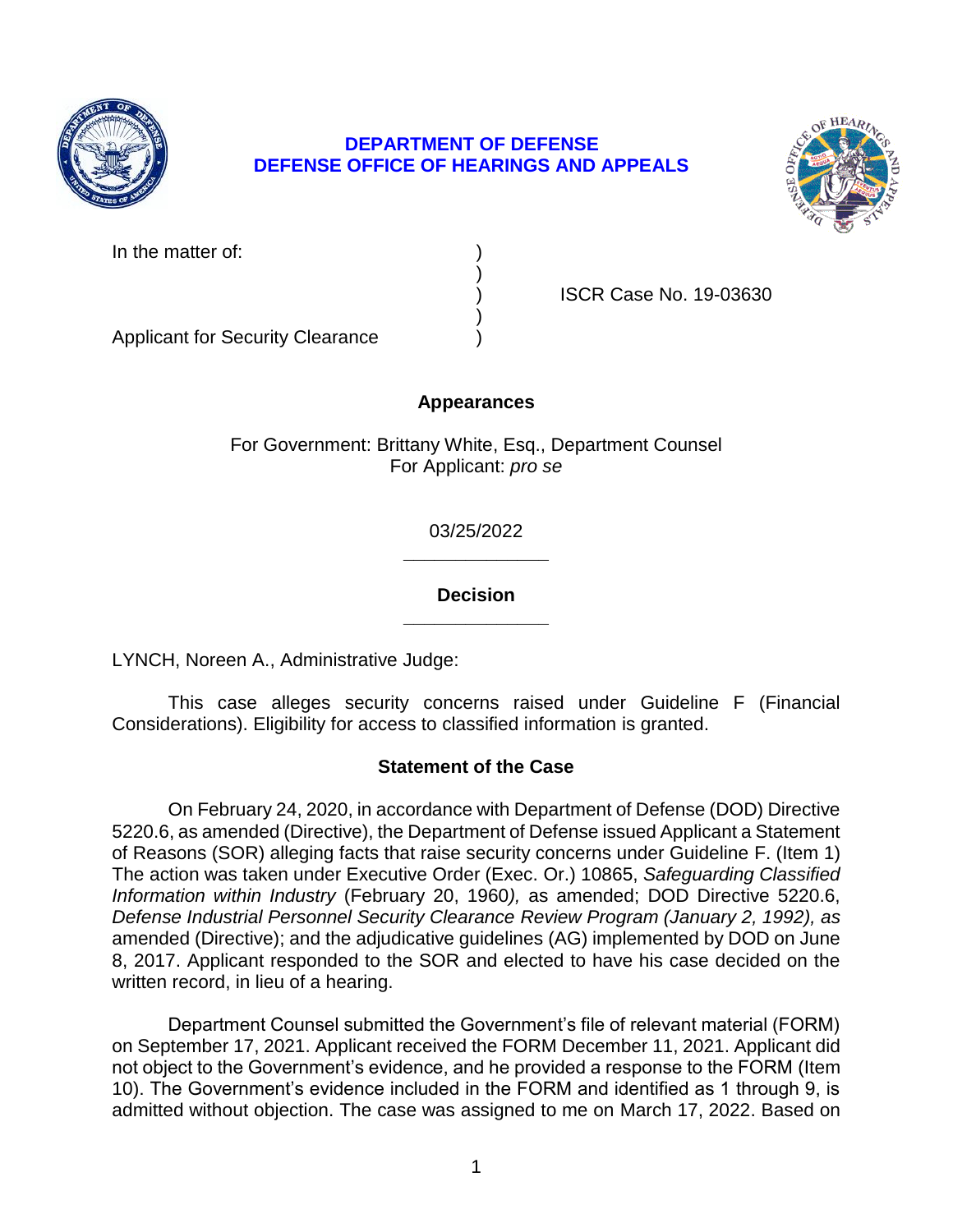

# **DEPARTMENT OF DEFENSE DEFENSE OFFICE OF HEARINGS AND APPEALS**



In the matter of:

) ISCR Case No. 19-03630

Applicant for Security Clearance )

# **Appearances**

)

)

For Government: Brittany White, Esq., Department Counsel For Applicant: *pro se* 

> **\_\_\_\_\_\_\_\_\_\_\_\_\_\_**  03/25/2022

### **\_\_\_\_\_\_\_\_\_\_\_\_\_\_ Decision**

LYNCH, Noreen A., Administrative Judge:

 This case alleges security concerns raised under Guideline F (Financial Considerations). Eligibility for access to classified information is granted.

# **Statement of the Case**

 On February 24, 2020, in accordance with Department of Defense (DOD) Directive 5220.6, as amended (Directive), the Department of Defense issued Applicant a Statement  *Information within Industry* (February 20, 1960*),* as amended; DOD Directive 5220.6, amended (Directive); and the adjudicative guidelines (AG) implemented by DOD on June 8, 2017. Applicant responded to the SOR and elected to have his case decided on the of Reasons (SOR) alleging facts that raise security concerns under Guideline F. (Item 1) The action was taken under Executive Order (Exec. Or.) 10865, *Safeguarding Classified Defense Industrial Personnel Security Clearance Review Program (January 2, 1992), as*  written record, in lieu of a hearing.

 Department Counsel submitted the Government's file of relevant material (FORM) on September 17, 2021. Applicant received the FORM December 11, 2021. Applicant did not object to the Government's evidence, and he provided a response to the FORM (Item 10). The Government's evidence included in the FORM and identified as 1 through 9, is admitted without objection. The case was assigned to me on March 17, 2022. Based on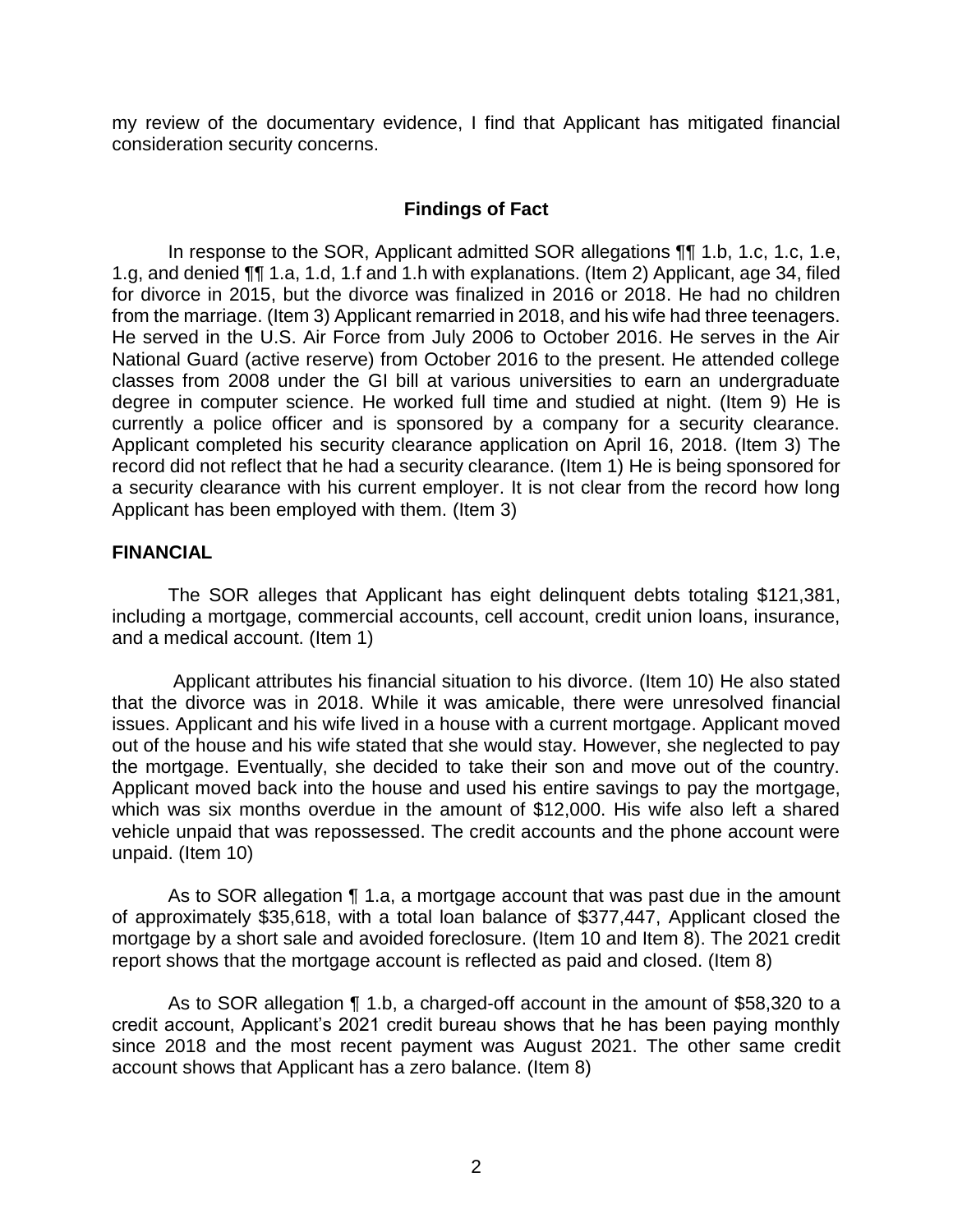my review of the documentary evidence, I find that Applicant has mitigated financial consideration security concerns.

### **Findings of Fact**

 In response to the SOR, Applicant admitted SOR allegations ¶¶ 1.b, 1.c, 1.c, 1.e, 1.g, and denied ¶¶ 1.a, 1.d, 1.f and 1.h with explanations. (Item 2) Applicant, age 34, filed for divorce in 2015, but the divorce was finalized in 2016 or 2018. He had no children from the marriage. (Item 3) Applicant remarried in 2018, and his wife had three teenagers. He served in the U.S. Air Force from July 2006 to October 2016. He serves in the Air National Guard (active reserve) from October 2016 to the present. He attended college classes from 2008 under the GI bill at various universities to earn an undergraduate degree in computer science. He worked full time and studied at night. (Item 9) He is currently a police officer and is sponsored by a company for a security clearance. Applicant completed his security clearance application on April 16, 2018. (Item 3) The record did not reflect that he had a security clearance. (Item 1) He is being sponsored for a security clearance with his current employer. It is not clear from the record how long Applicant has been employed with them. (Item 3)

### **FINANCIAL**

 The SOR alleges that Applicant has eight delinquent debts totaling \$121,381, including a mortgage, commercial accounts, cell account, credit union loans, insurance, and a medical account. (Item 1)

 Applicant attributes his financial situation to his divorce. (Item 10) He also stated out of the house and his wife stated that she would stay. However, she neglected to pay the mortgage. Eventually, she decided to take their son and move out of the country. Applicant moved back into the house and used his entire savings to pay the mortgage, which was six months overdue in the amount of \$12,000. His wife also left a shared vehicle unpaid that was repossessed. The credit accounts and the phone account were that the divorce was in 2018. While it was amicable, there were unresolved financial issues. Applicant and his wife lived in a house with a current mortgage. Applicant moved unpaid. (Item 10)

 As to SOR allegation ¶ 1.a, a mortgage account that was past due in the amount of approximately \$35,618, with a total loan balance of \$377,447, Applicant closed the mortgage by a short sale and avoided foreclosure. (Item 10 and Item 8). The 2021 credit report shows that the mortgage account is reflected as paid and closed. (Item 8)

As to SOR allegation ¶ 1.b, a charged-off account in the amount of \$58,320 to a credit account, Applicant's 2021 credit bureau shows that he has been paying monthly since 2018 and the most recent payment was August 2021. The other same credit account shows that Applicant has a zero balance. (Item 8)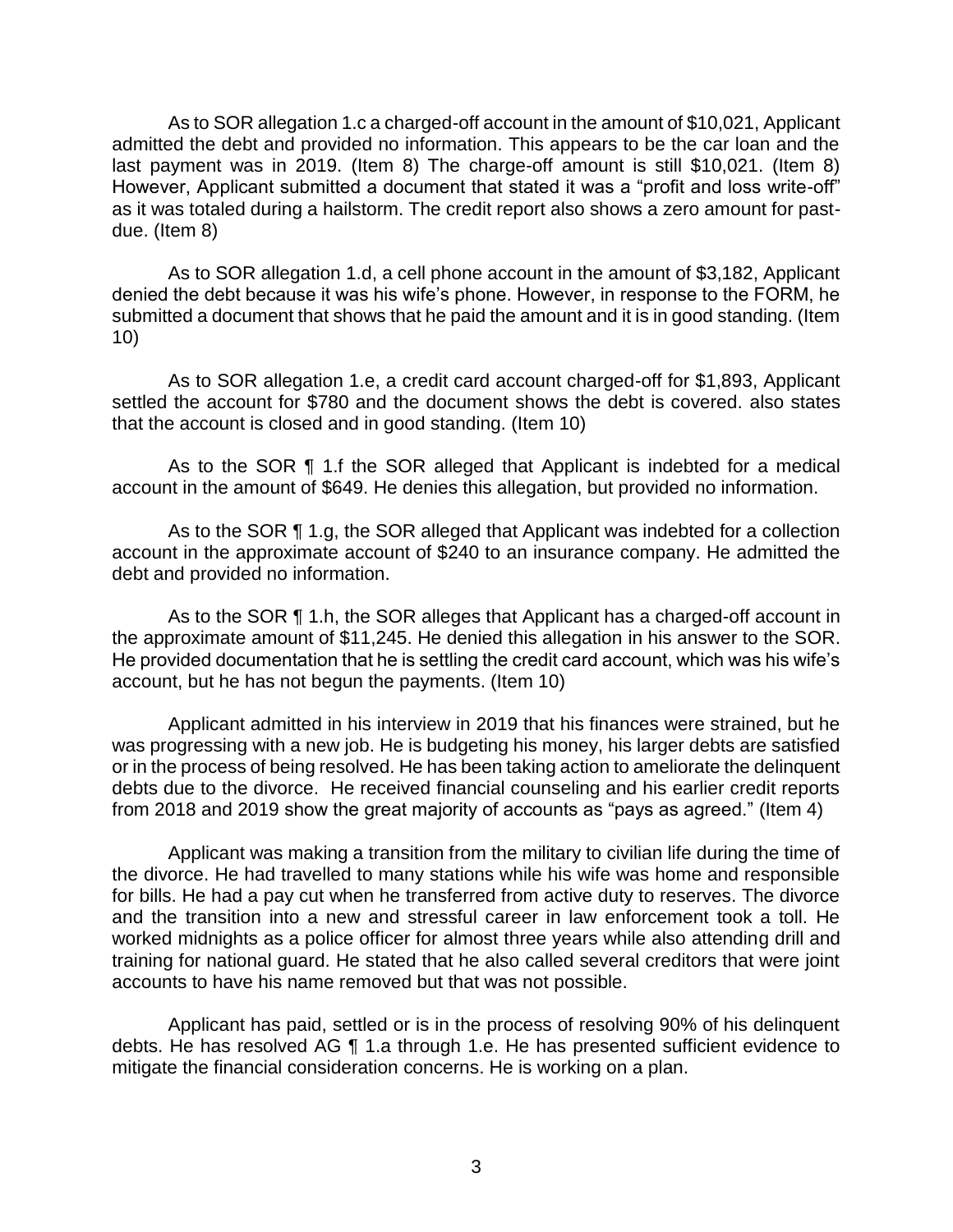As to SOR allegation 1.c a charged-off account in the amount of \$10,021, Applicant admitted the debt and provided no information. This appears to be the car loan and the last payment was in 2019. (Item 8) The charge-off amount is still \$10,021. (Item 8) However, Applicant submitted a document that stated it was a "profit and loss write-off" as it was totaled during a hailstorm. The credit report also shows a zero amount for pastdue. (Item 8)

As to SOR allegation 1.d, a cell phone account in the amount of \$3,182, Applicant denied the debt because it was his wife's phone. However, in response to the FORM, he submitted a document that shows that he paid the amount and it is in good standing. (Item 10)

 As to SOR allegation 1.e, a credit card account charged-off for \$1,893, Applicant settled the account for \$780 and the document shows the debt is covered. also states that the account is closed and in good standing. (Item 10)

 As to the SOR ¶ 1.f the SOR alleged that Applicant is indebted for a medical account in the amount of \$649. He denies this allegation, but provided no information.

 account in the approximate account of \$240 to an insurance company. He admitted the As to the SOR ¶ 1.g, the SOR alleged that Applicant was indebted for a collection debt and provided no information.

As to the SOR ¶ 1.h, the SOR alleges that Applicant has a charged-off account in the approximate amount of \$11,245. He denied this allegation in his answer to the SOR. He provided documentation that he is settling the credit card account, which was his wife's account, but he has not begun the payments. (Item 10)

 Applicant admitted in his interview in 2019 that his finances were strained, but he was progressing with a new job. He is budgeting his money, his larger debts are satisfied or in the process of being resolved. He has been taking action to ameliorate the delinquent debts due to the divorce. He received financial counseling and his earlier credit reports from 2018 and 2019 show the great majority of accounts as "pays as agreed." (Item 4)

 Applicant was making a transition from the military to civilian life during the time of the divorce. He had travelled to many stations while his wife was home and responsible for bills. He had a pay cut when he transferred from active duty to reserves. The divorce and the transition into a new and stressful career in law enforcement took a toll. He worked midnights as a police officer for almost three years while also attending drill and training for national guard. He stated that he also called several creditors that were joint accounts to have his name removed but that was not possible.

 Applicant has paid, settled or is in the process of resolving 90% of his delinquent debts. He has resolved AG ¶ 1.a through 1.e. He has presented sufficient evidence to mitigate the financial consideration concerns. He is working on a plan.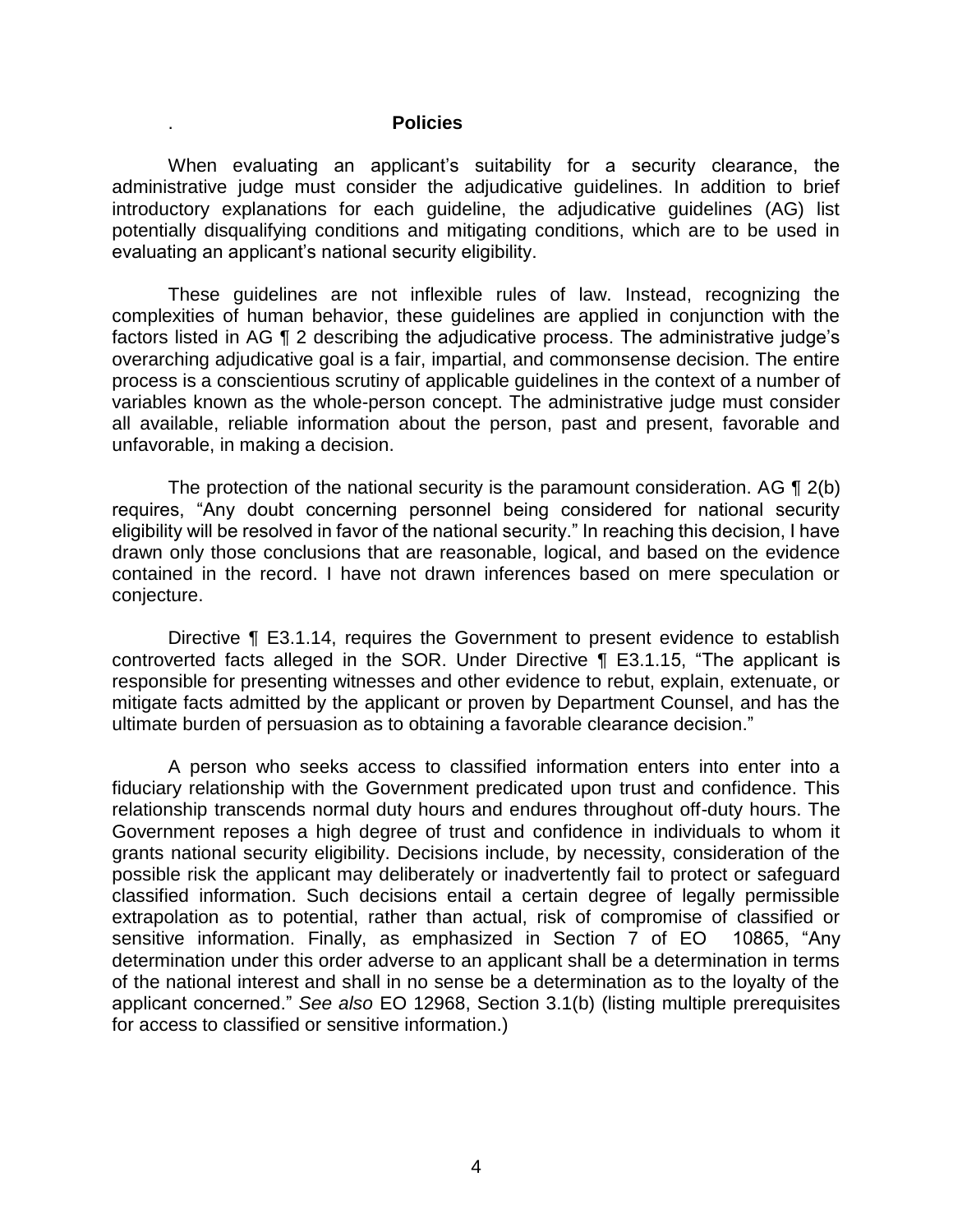#### . **Policies**

 When evaluating an applicant's suitability for a security clearance, the administrative judge must consider the adjudicative guidelines. In addition to brief potentially disqualifying conditions and mitigating conditions, which are to be used in introductory explanations for each guideline, the adjudicative guidelines (AG) list evaluating an applicant's national security eligibility.

 These guidelines are not inflexible rules of law. Instead, recognizing the complexities of human behavior, these guidelines are applied in conjunction with the factors listed in AG ¶ 2 describing the adjudicative process. The administrative judge's overarching adjudicative goal is a fair, impartial, and commonsense decision. The entire variables known as the whole-person concept. The administrative judge must consider all available, reliable information about the person, past and present, favorable and process is a conscientious scrutiny of applicable guidelines in the context of a number of unfavorable, in making a decision.

The protection of the national security is the paramount consideration. AG  $\P$  2(b) requires, "Any doubt concerning personnel being considered for national security eligibility will be resolved in favor of the national security." In reaching this decision, I have drawn only those conclusions that are reasonable, logical, and based on the evidence contained in the record. I have not drawn inferences based on mere speculation or conjecture.

 Directive ¶ E3.1.14, requires the Government to present evidence to establish controverted facts alleged in the SOR. Under Directive ¶ E3.1.15, "The applicant is responsible for presenting witnesses and other evidence to rebut, explain, extenuate, or mitigate facts admitted by the applicant or proven by Department Counsel, and has the ultimate burden of persuasion as to obtaining a favorable clearance decision."

 A person who seeks access to classified information enters into enter into a fiduciary relationship with the Government predicated upon trust and confidence. This relationship transcends normal duty hours and endures throughout off-duty hours. The Government reposes a high degree of trust and confidence in individuals to whom it grants national security eligibility. Decisions include, by necessity, consideration of the possible risk the applicant may deliberately or inadvertently fail to protect or safeguard classified information. Such decisions entail a certain degree of legally permissible extrapolation as to potential, rather than actual, risk of compromise of classified or sensitive information. Finally, as emphasized in Section 7 of EO 10865, "Any determination under this order adverse to an applicant shall be a determination in terms of the national interest and shall in no sense be a determination as to the loyalty of the applicant concerned." *See also* EO 12968, Section 3.1(b) (listing multiple prerequisites for access to classified or sensitive information.)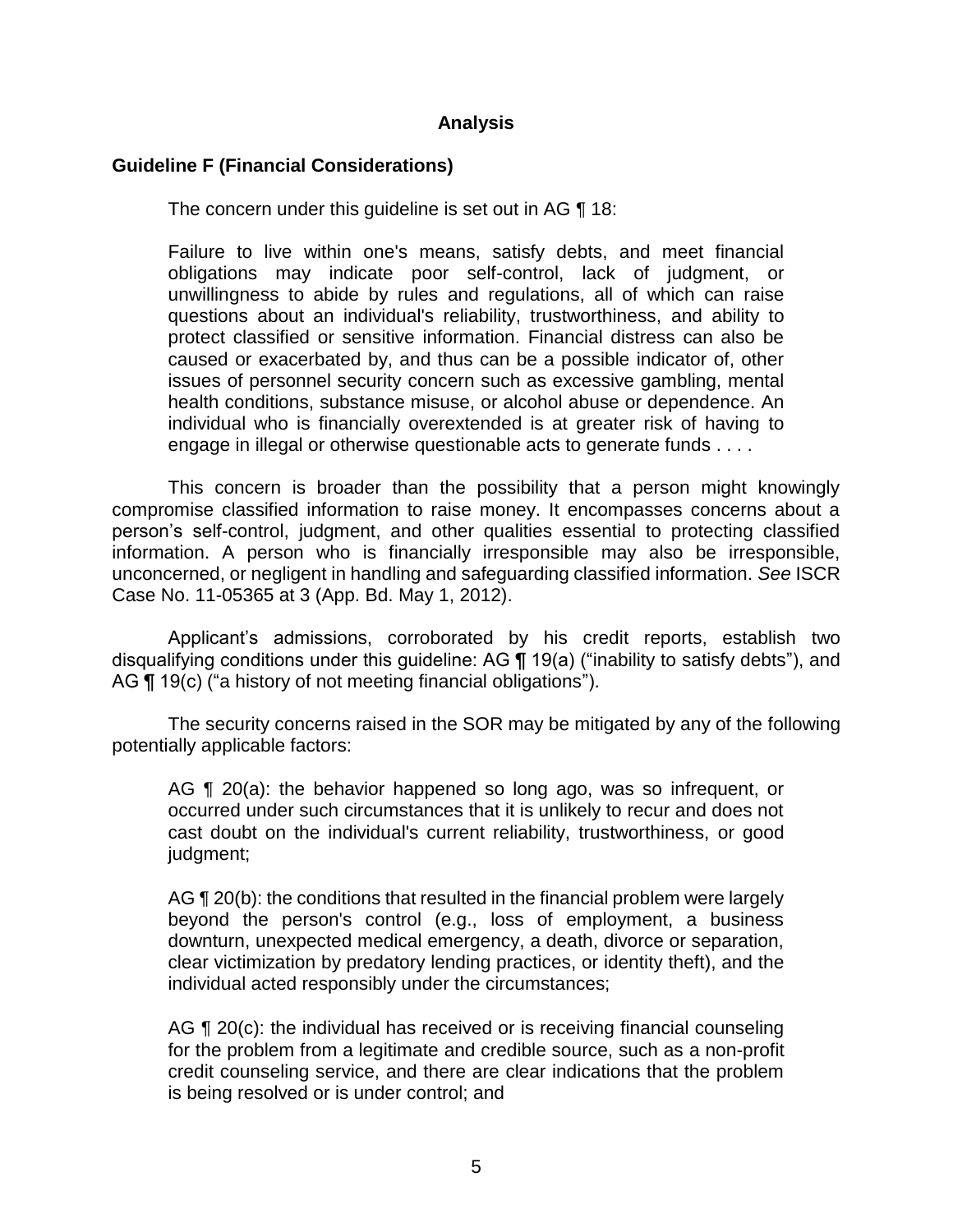### **Analysis**

### **Guideline F (Financial Considerations)**

The concern under this guideline is set out in AG ¶ 18:

Failure to live within one's means, satisfy debts, and meet financial obligations may indicate poor self-control, lack of judgment, or unwillingness to abide by rules and regulations, all of which can raise questions about an individual's reliability, trustworthiness, and ability to protect classified or sensitive information. Financial distress can also be caused or exacerbated by, and thus can be a possible indicator of, other issues of personnel security concern such as excessive gambling, mental health conditions, substance misuse, or alcohol abuse or dependence. An individual who is financially overextended is at greater risk of having to engage in illegal or otherwise questionable acts to generate funds . . . .

 This concern is broader than the possibility that a person might knowingly compromise classified information to raise money. It encompasses concerns about a person's self-control, judgment, and other qualities essential to protecting classified information. A person who is financially irresponsible may also be irresponsible, unconcerned, or negligent in handling and safeguarding classified information. *See* ISCR Case No. 11-05365 at 3 (App. Bd. May 1, 2012).

 Applicant's admissions, corroborated by his credit reports, establish two disqualifying conditions under this guideline: AG ¶ 19(a) ("inability to satisfy debts"), and AG ¶ 19(c) ("a history of not meeting financial obligations").

The security concerns raised in the SOR may be mitigated by any of the following potentially applicable factors:

AG ¶ 20(a): the behavior happened so long ago, was so infrequent, or occurred under such circumstances that it is unlikely to recur and does not cast doubt on the individual's current reliability, trustworthiness, or good judgment;

AG ¶ 20(b): the conditions that resulted in the financial problem were largely beyond the person's control (e.g., loss of employment, a business downturn, unexpected medical emergency, a death, divorce or separation, clear victimization by predatory lending practices, or identity theft), and the individual acted responsibly under the circumstances;

AG ¶ 20(c): the individual has received or is receiving financial counseling for the problem from a legitimate and credible source, such as a non-profit credit counseling service, and there are clear indications that the problem is being resolved or is under control; and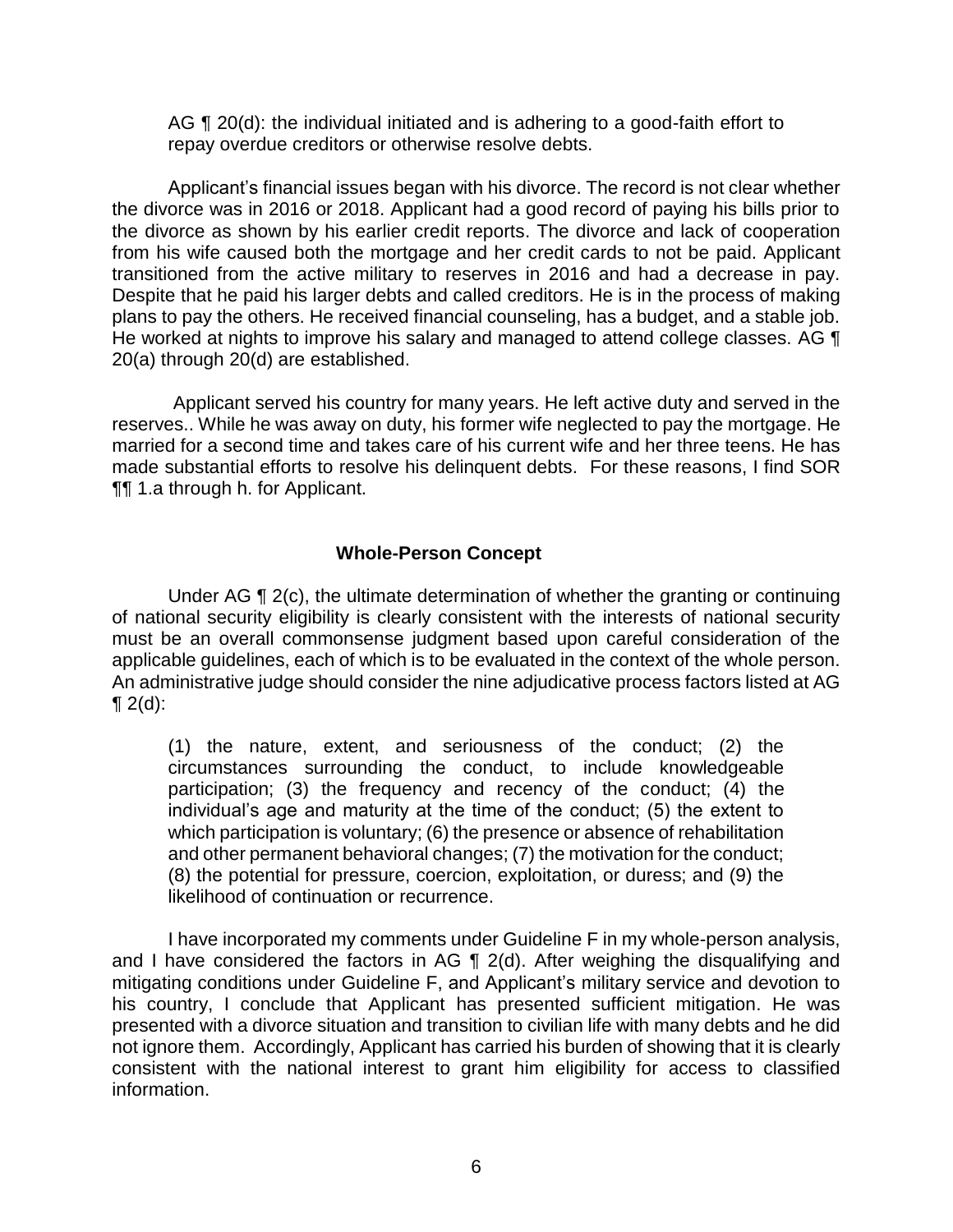AG ¶ 20(d): the individual initiated and is adhering to a good-faith effort to repay overdue creditors or otherwise resolve debts.

 Applicant's financial issues began with his divorce. The record is not clear whether the divorce was in 2016 or 2018. Applicant had a good record of paying his bills prior to the divorce as shown by his earlier credit reports. The divorce and lack of cooperation from his wife caused both the mortgage and her credit cards to not be paid. Applicant transitioned from the active military to reserves in 2016 and had a decrease in pay. Despite that he paid his larger debts and called creditors. He is in the process of making plans to pay the others. He received financial counseling, has a budget, and a stable job. He worked at nights to improve his salary and managed to attend college classes. AG  $\P$ 20(a) through 20(d) are established.

 Applicant served his country for many years. He left active duty and served in the reserves.. While he was away on duty, his former wife neglected to pay the mortgage. He made substantial efforts to resolve his delinquent debts. For these reasons, I find SOR married for a second time and takes care of his current wife and her three teens. He has ¶¶ 1.a through h. for Applicant.

### **Whole-Person Concept**

Under AG ¶ 2(c), the ultimate determination of whether the granting or continuing of national security eligibility is clearly consistent with the interests of national security must be an overall commonsense judgment based upon careful consideration of the applicable guidelines, each of which is to be evaluated in the context of the whole person. An administrative judge should consider the nine adjudicative process factors listed at AG  $\P 2(d)$ :

(1) the nature, extent, and seriousness of the conduct; (2) the circumstances surrounding the conduct, to include knowledgeable participation; (3) the frequency and recency of the conduct; (4) the individual's age and maturity at the time of the conduct; (5) the extent to which participation is voluntary; (6) the presence or absence of rehabilitation and other permanent behavioral changes; (7) the motivation for the conduct; (8) the potential for pressure, coercion, exploitation, or duress; and (9) the likelihood of continuation or recurrence.

 I have incorporated my comments under Guideline F in my whole-person analysis, and I have considered the factors in AG  $\P$  2(d). After weighing the disqualifying and mitigating conditions under Guideline F, and Applicant's military service and devotion to his country, I conclude that Applicant has presented sufficient mitigation. He was presented with a divorce situation and transition to civilian life with many debts and he did not ignore them. Accordingly, Applicant has carried his burden of showing that it is clearly consistent with the national interest to grant him eligibility for access to classified information.